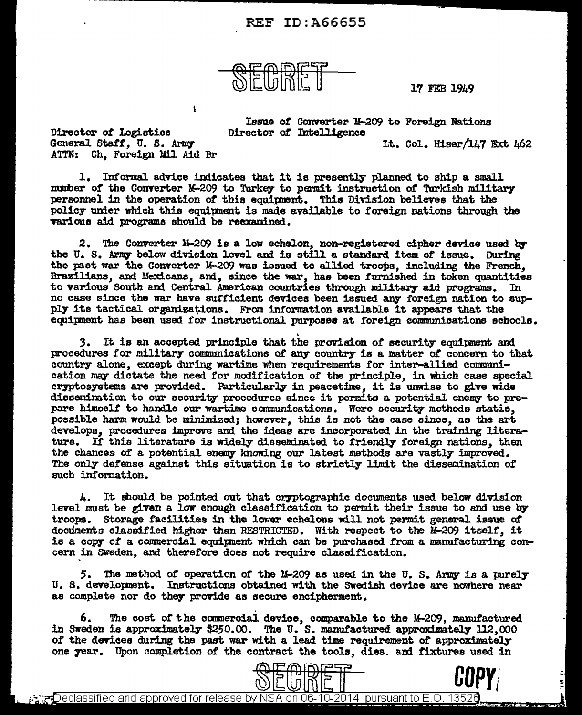## REF ID:A66655



17 FEB 1949

Issue *ot* Converter H-209 to Foreign Nations Director of Intelligence Lt. Col. Hiser/147 Ext. 462

Director or Logistics General Staff. U. S. Army ATTN: Ch. Foreign Mil Aid Br

 $\mathbf{A}$ 

1. Informal advice indicates that it is presently planned to ship a small number of the Converter M-209 to Turkey to permit instruction of Turkish military personnel in the operation of this equipment. This Division believes that the policy under which this equipment is made available to foreign nations through the various aid programs should be reexamined.

2. The Converter 1-209 is a low echelon, non-registered cipher device used by the U.S. Army below division level and is still a standard item of issue. During the past war the Converter M-209 was issued to allied troops, including the French, Brazilians, and Mexicans, and, since the war, has been furnished in token quantities to various South and Central American countries through military aid programs. In to various South and Central American countries through military aid programs. no case since the war have sufficient devices been issued any foreign nation to supply its tactical organizations. From information available it appears that the equipment has been used for instructional purposes at foreign communications schools.

3. It is an accepted principle that the provision of security equipment and procedures for military communications of any country is a matter of concern to that country alone, except during wartime when requirements for inter-allied communication may dictate the need for modification of the principle, in which case special cryptosystems are provided. Particularly in peacetime, it is unwise to give wide dissemination to our security procedures since it permits a potential enemy to prepare himself to hamle our wartime canmunications. Were security methods static, possible harm would be minimized; however, this is not the case since, as the art develops. procedures improve and the ideas are incorporated in the training literature. If this literature is widely disseminated to friendly foreign nations, then the chances of a potential enemy knowing our latest methods are vastly improved. The only defense against this situation is to strictly limit the dissemination of such information.

 $4.$  It should be pointed out that cryptographic documents used below division level must be given a low enough classification to permit their issue to and use by troops. Storage facilities in the lower echelons will not permit general issue of documents classified higher than RESTRICTED. With respect to the  $M-209$  itself, it is a copy of a commercial equipment which can be purchased from a manufacturing concern in SWeden, and therefore does not require classification.

5. The method of operation of the M-209 as used in the U.S. Army is a purely U. s. developnent. Instructions obtained with the Swedish device are nowhere near as complete nor do they provide as secure encipherment.

6. The cost of the commercial device, comparable to the M-209, manufactured in Sweden is approximately \$250.00. The U.S. manufactured approximately 112,000 of the devices during the past war with a lead time requirement of approximately one year. Upon completion of the contract the tools, dies. and fixtures used in





ಮೀಸ್Declassified and approved for release by NSA on 06-10-2014 lbursuant to E.O. 13526